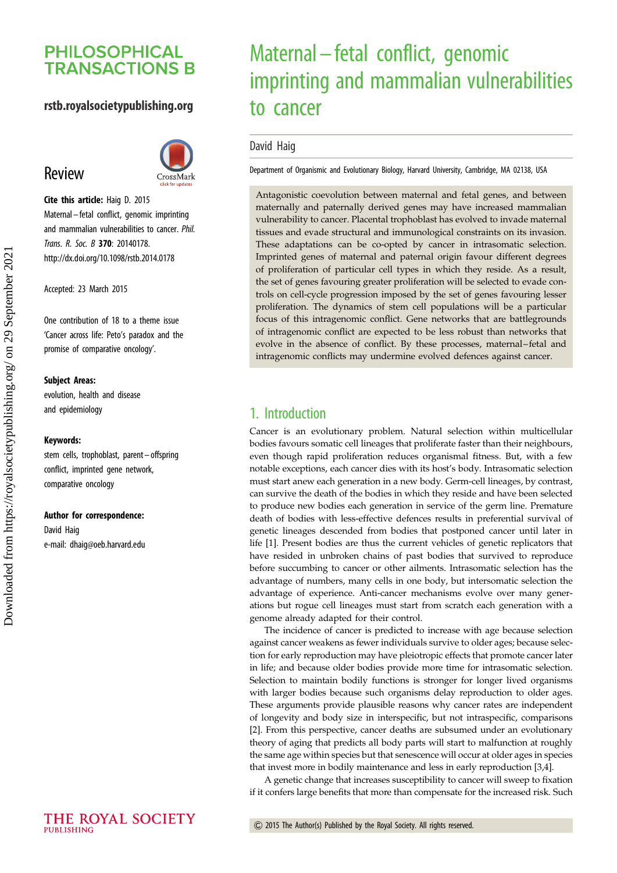# **PHILOSOPHICAL TRANSACTIONS B**

### rstb.royalsocietypublishing.org

# Review



Cite this article: Haig D. 2015 Maternal –fetal conflict, genomic imprinting and mammalian vulnerabilities to cancer. Phil. Trans. R. Soc. B 370: 20140178. http://dx.doi.org/10.1098/rstb.2014.0178

Accepted: 23 March 2015

One contribution of 18 to a theme issue 'Cancer across life: Peto's paradox and the promise of comparative oncology'.

#### Subject Areas:

evolution, health and disease and epidemiology

#### Keywords:

stem cells, trophoblast, parent – offspring conflict, imprinted gene network, comparative oncology

#### Author for correspondence:

David Haig e-mail: [dhaig@oeb.harvard.edu](mailto:dhaig@oeb.harvard.edu)

# Maternal – fetal conflict, genomic imprinting and mammalian vulnerabilities to cancer

#### David Haig

Department of Organismic and Evolutionary Biology, Harvard University, Cambridge, MA 02138, USA

Antagonistic coevolution between maternal and fetal genes, and between maternally and paternally derived genes may have increased mammalian vulnerability to cancer. Placental trophoblast has evolved to invade maternal tissues and evade structural and immunological constraints on its invasion. These adaptations can be co-opted by cancer in intrasomatic selection. Imprinted genes of maternal and paternal origin favour different degrees of proliferation of particular cell types in which they reside. As a result, the set of genes favouring greater proliferation will be selected to evade controls on cell-cycle progression imposed by the set of genes favouring lesser proliferation. The dynamics of stem cell populations will be a particular focus of this intragenomic conflict. Gene networks that are battlegrounds of intragenomic conflict are expected to be less robust than networks that evolve in the absence of conflict. By these processes, maternal– fetal and intragenomic conflicts may undermine evolved defences against cancer.

## 1. Introduction

Cancer is an evolutionary problem. Natural selection within multicellular bodies favours somatic cell lineages that proliferate faster than their neighbours, even though rapid proliferation reduces organismal fitness. But, with a few notable exceptions, each cancer dies with its host's body. Intrasomatic selection must start anew each generation in a new body. Germ-cell lineages, by contrast, can survive the death of the bodies in which they reside and have been selected to produce new bodies each generation in service of the germ line. Premature death of bodies with less-effective defences results in preferential survival of genetic lineages descended from bodies that postponed cancer until later in life [\[1\]](#page-4-0). Present bodies are thus the current vehicles of genetic replicators that have resided in unbroken chains of past bodies that survived to reproduce before succumbing to cancer or other ailments. Intrasomatic selection has the advantage of numbers, many cells in one body, but intersomatic selection the advantage of experience. Anti-cancer mechanisms evolve over many generations but rogue cell lineages must start from scratch each generation with a genome already adapted for their control.

The incidence of cancer is predicted to increase with age because selection against cancer weakens as fewer individuals survive to older ages; because selection for early reproduction may have pleiotropic effects that promote cancer later in life; and because older bodies provide more time for intrasomatic selection. Selection to maintain bodily functions is stronger for longer lived organisms with larger bodies because such organisms delay reproduction to older ages. These arguments provide plausible reasons why cancer rates are independent of longevity and body size in interspecific, but not intraspecific, comparisons [[2](#page-4-0)]. From this perspective, cancer deaths are subsumed under an evolutionary theory of aging that predicts all body parts will start to malfunction at roughly the same age within species but that senescence will occur at older ages in species that invest more in bodily maintenance and less in early reproduction [[3,4\]](#page-4-0).

A genetic change that increases susceptibility to cancer will sweep to fixation if it confers large benefits that more than compensate for the increased risk. Such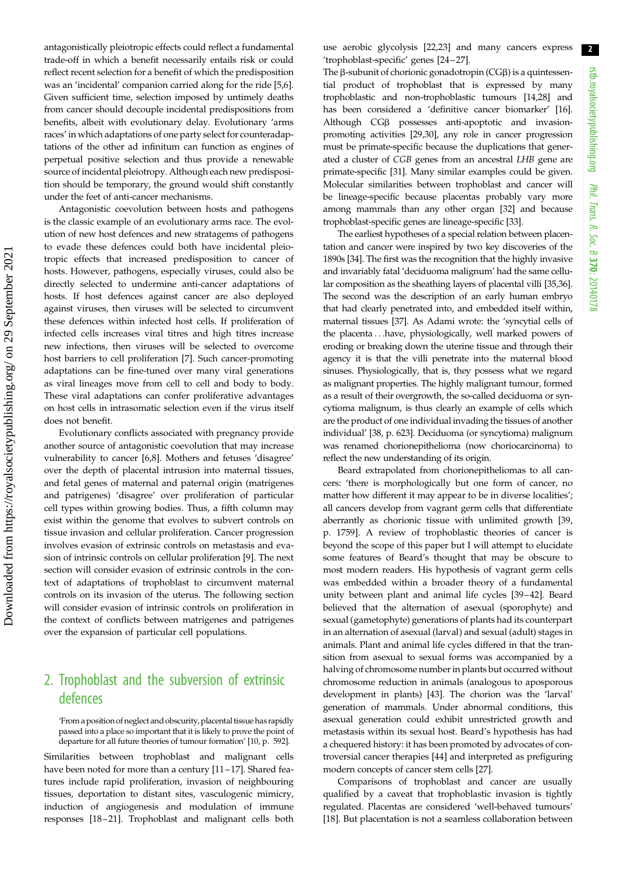2

antagonistically pleiotropic effects could reflect a fundamental trade-off in which a benefit necessarily entails risk or could reflect recent selection for a benefit of which the predisposition was an 'incidental' companion carried along for the ride [\[5,6](#page-4-0)]. Given sufficient time, selection imposed by untimely deaths from cancer should decouple incidental predispositions from benefits, albeit with evolutionary delay. Evolutionary 'arms races' in which adaptations of one party select for counteradaptations of the other ad infinitum can function as engines of perpetual positive selection and thus provide a renewable source of incidental pleiotropy. Although each new predisposition should be temporary, the ground would shift constantly under the feet of anti-cancer mechanisms.

Antagonistic coevolution between hosts and pathogens is the classic example of an evolutionary arms race. The evolution of new host defences and new stratagems of pathogens to evade these defences could both have incidental pleiotropic effects that increased predisposition to cancer of hosts. However, pathogens, especially viruses, could also be directly selected to undermine anti-cancer adaptations of hosts. If host defences against cancer are also deployed against viruses, then viruses will be selected to circumvent these defences within infected host cells. If proliferation of infected cells increases viral titres and high titres increase new infections, then viruses will be selected to overcome host barriers to cell proliferation [\[7\]](#page-5-0). Such cancer-promoting adaptations can be fine-tuned over many viral generations as viral lineages move from cell to cell and body to body. These viral adaptations can confer proliferative advantages on host cells in intrasomatic selection even if the virus itself does not benefit.

Evolutionary conflicts associated with pregnancy provide another source of antagonistic coevolution that may increase vulnerability to cancer [[6](#page-4-0),[8](#page-5-0)]. Mothers and fetuses 'disagree' over the depth of placental intrusion into maternal tissues, and fetal genes of maternal and paternal origin (matrigenes and patrigenes) 'disagree' over proliferation of particular cell types within growing bodies. Thus, a fifth column may exist within the genome that evolves to subvert controls on tissue invasion and cellular proliferation. Cancer progression involves evasion of extrinsic controls on metastasis and evasion of intrinsic controls on cellular proliferation [\[9\]](#page-5-0). The next section will consider evasion of extrinsic controls in the context of adaptations of trophoblast to circumvent maternal controls on its invasion of the uterus. The following section will consider evasion of intrinsic controls on proliferation in the context of conflicts between matrigenes and patrigenes over the expansion of particular cell populations.

# 2. Trophoblast and the subversion of extrinsic defences

'From a position of neglect and obscurity, placental tissue has rapidly passed into a place so important that it is likely to prove the point of departure for all future theories of tumour formation' [[10](#page-5-0), p. 592].

Similarities between trophoblast and malignant cells have been noted for more than a century [\[11](#page-5-0)-[17\]](#page-5-0). Shared features include rapid proliferation, invasion of neighbouring tissues, deportation to distant sites, vasculogenic mimicry, induction of angiogenesis and modulation of immune responses [\[18](#page-5-0) –[21](#page-5-0)]. Trophoblast and malignant cells both use aerobic glycolysis [[22,23\]](#page-5-0) and many cancers express 'trophoblast-specific' genes [[24](#page-5-0)–[27](#page-5-0)].

The  $\beta$ -subunit of chorionic gonadotropin (CG $\beta$ ) is a quintessential product of trophoblast that is expressed by many trophoblastic and non-trophoblastic tumours [\[14,28](#page-5-0)] and has been considered a 'definitive cancer biomarker' [[16\]](#page-5-0). Although CG<sub>B</sub> possesses anti-apoptotic and invasionpromoting activities [[29](#page-5-0),[30](#page-5-0)], any role in cancer progression must be primate-specific because the duplications that generated a cluster of CGB genes from an ancestral LHB gene are primate-specific [\[31](#page-5-0)]. Many similar examples could be given. Molecular similarities between trophoblast and cancer will be lineage-specific because placentas probably vary more among mammals than any other organ [\[32](#page-5-0)] and because trophoblast-specific genes are lineage-specific [\[33](#page-5-0)].

The earliest hypotheses of a special relation between placentation and cancer were inspired by two key discoveries of the 1890s [[34\]](#page-5-0). The first was the recognition that the highly invasive and invariably fatal 'deciduoma malignum' had the same cellular composition as the sheathing layers of placental villi [\[35,36\]](#page-5-0). The second was the description of an early human embryo that had clearly penetrated into, and embedded itself within, maternal tissues [\[37\]](#page-5-0). As Adami wrote: the 'syncytial cells of the placenta ...have, physiologically, well marked powers of eroding or breaking down the uterine tissue and through their agency it is that the villi penetrate into the maternal blood sinuses. Physiologically, that is, they possess what we regard as malignant properties. The highly malignant tumour, formed as a result of their overgrowth, the so-called deciduoma or syncytioma malignum, is thus clearly an example of cells which are the product of one individual invading the tissues of another individual' [\[38,](#page-5-0) p. 623]. Deciduoma (or syncytioma) malignum was renamed chorionepithelioma (now choriocarcinoma) to reflect the new understanding of its origin.

Beard extrapolated from chorionepitheliomas to all cancers: 'there is morphologically but one form of cancer, no matter how different it may appear to be in diverse localities'; all cancers develop from vagrant germ cells that differentiate aberrantly as chorionic tissue with unlimited growth [[39](#page-5-0), p. 1759]. A review of trophoblastic theories of cancer is beyond the scope of this paper but I will attempt to elucidate some features of Beard's thought that may be obscure to most modern readers. His hypothesis of vagrant germ cells was embedded within a broader theory of a fundamental unity between plant and animal life cycles [\[39](#page-5-0)–[42](#page-5-0)]. Beard believed that the alternation of asexual (sporophyte) and sexual (gametophyte) generations of plants had its counterpart in an alternation of asexual (larval) and sexual (adult) stages in animals. Plant and animal life cycles differed in that the transition from asexual to sexual forms was accompanied by a halving of chromosome number in plants but occurred without chromosome reduction in animals (analogous to aposporous development in plants) [\[43](#page-5-0)]. The chorion was the 'larval' generation of mammals. Under abnormal conditions, this asexual generation could exhibit unrestricted growth and metastasis within its sexual host. Beard's hypothesis has had a chequered history: it has been promoted by advocates of controversial cancer therapies [[44](#page-5-0)] and interpreted as prefiguring modern concepts of cancer stem cells [\[27](#page-5-0)].

Comparisons of trophoblast and cancer are usually qualified by a caveat that trophoblastic invasion is tightly regulated. Placentas are considered 'well-behaved tumours' [[18\]](#page-5-0). But placentation is not a seamless collaboration between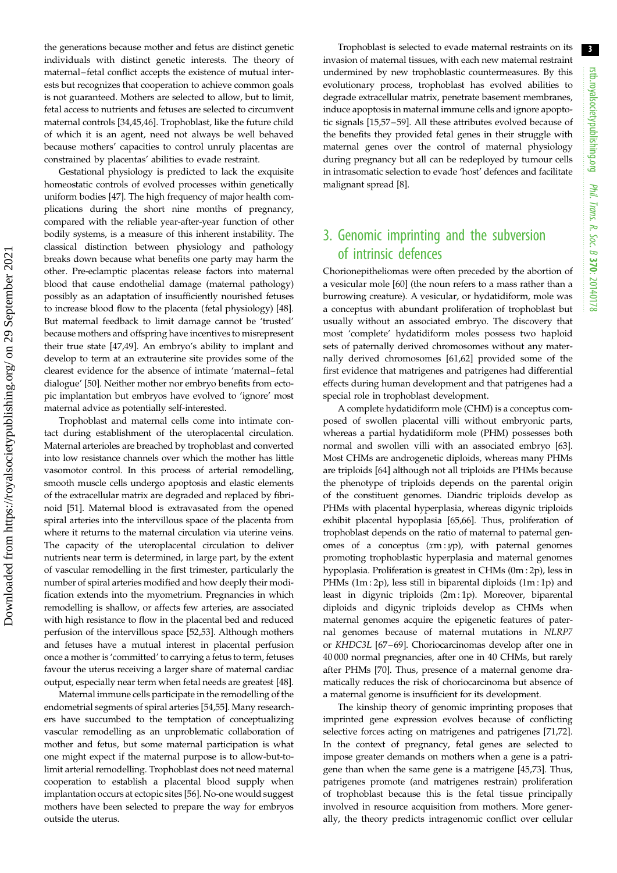3

the generations because mother and fetus are distinct genetic individuals with distinct genetic interests. The theory of maternal– fetal conflict accepts the existence of mutual interests but recognizes that cooperation to achieve common goals is not guaranteed. Mothers are selected to allow, but to limit, fetal access to nutrients and fetuses are selected to circumvent maternal controls [\[34,45](#page-5-0),[46\]](#page-5-0). Trophoblast, like the future child of which it is an agent, need not always be well behaved because mothers' capacities to control unruly placentas are constrained by placentas' abilities to evade restraint.

Gestational physiology is predicted to lack the exquisite homeostatic controls of evolved processes within genetically uniform bodies [[47\]](#page-5-0). The high frequency of major health complications during the short nine months of pregnancy, compared with the reliable year-after-year function of other bodily systems, is a measure of this inherent instability. The classical distinction between physiology and pathology breaks down because what benefits one party may harm the other. Pre-eclamptic placentas release factors into maternal blood that cause endothelial damage (maternal pathology) possibly as an adaptation of insufficiently nourished fetuses to increase blood flow to the placenta (fetal physiology) [\[48](#page-5-0)]. But maternal feedback to limit damage cannot be 'trusted' because mothers and offspring have incentives to misrepresent their true state [[47,49\]](#page-5-0). An embryo's ability to implant and develop to term at an extrauterine site provides some of the clearest evidence for the absence of intimate 'maternal– fetal dialogue' [\[50](#page-5-0)]. Neither mother nor embryo benefits from ectopic implantation but embryos have evolved to 'ignore' most maternal advice as potentially self-interested.

Trophoblast and maternal cells come into intimate contact during establishment of the uteroplacental circulation. Maternal arterioles are breached by trophoblast and converted into low resistance channels over which the mother has little vasomotor control. In this process of arterial remodelling, smooth muscle cells undergo apoptosis and elastic elements of the extracellular matrix are degraded and replaced by fibrinoid [\[51](#page-5-0)]. Maternal blood is extravasated from the opened spiral arteries into the intervillous space of the placenta from where it returns to the maternal circulation via uterine veins. The capacity of the uteroplacental circulation to deliver nutrients near term is determined, in large part, by the extent of vascular remodelling in the first trimester, particularly the number of spiral arteries modified and how deeply their modification extends into the myometrium. Pregnancies in which remodelling is shallow, or affects few arteries, are associated with high resistance to flow in the placental bed and reduced perfusion of the intervillous space [\[52,53](#page-5-0)]. Although mothers and fetuses have a mutual interest in placental perfusion once a mother is 'committed' to carrying a fetus to term, fetuses favour the uterus receiving a larger share of maternal cardiac output, especially near term when fetal needs are greatest [\[48](#page-5-0)].

Maternal immune cells participate in the remodelling of the endometrial segments of spiral arteries [[54,55\]](#page-5-0). Many researchers have succumbed to the temptation of conceptualizing vascular remodelling as an unproblematic collaboration of mother and fetus, but some maternal participation is what one might expect if the maternal purpose is to allow-but-tolimit arterial remodelling. Trophoblast does not need maternal cooperation to establish a placental blood supply when implantation occurs at ectopic sites [[56](#page-6-0)]. No-one would suggest mothers have been selected to prepare the way for embryos outside the uterus.

Trophoblast is selected to evade maternal restraints on its invasion of maternal tissues, with each new maternal restraint undermined by new trophoblastic countermeasures. By this evolutionary process, trophoblast has evolved abilities to degrade extracellular matrix, penetrate basement membranes, induce apoptosis in maternal immune cells and ignore apoptotic signals [[15,](#page-5-0)[57](#page-6-0)–[59](#page-6-0)]. All these attributes evolved because of the benefits they provided fetal genes in their struggle with maternal genes over the control of maternal physiology during pregnancy but all can be redeployed by tumour cells in intrasomatic selection to evade 'host' defences and facilitate malignant spread [[8](#page-5-0)].

# 3. Genomic imprinting and the subversion of intrinsic defences

Chorionepitheliomas were often preceded by the abortion of a vesicular mole [[60\]](#page-6-0) (the noun refers to a mass rather than a burrowing creature). A vesicular, or hydatidiform, mole was a conceptus with abundant proliferation of trophoblast but usually without an associated embryo. The discovery that most 'complete' hydatidiform moles possess two haploid sets of paternally derived chromosomes without any maternally derived chromosomes [[61](#page-6-0),[62\]](#page-6-0) provided some of the first evidence that matrigenes and patrigenes had differential effects during human development and that patrigenes had a special role in trophoblast development.

A complete hydatidiform mole (CHM) is a conceptus composed of swollen placental villi without embryonic parts, whereas a partial hydatidiform mole (PHM) possesses both normal and swollen villi with an associated embryo [[63\]](#page-6-0). Most CHMs are androgenetic diploids, whereas many PHMs are triploids [[64\]](#page-6-0) although not all triploids are PHMs because the phenotype of triploids depends on the parental origin of the constituent genomes. Diandric triploids develop as PHMs with placental hyperplasia, whereas digynic triploids exhibit placental hypoplasia [[65,66\]](#page-6-0). Thus, proliferation of trophoblast depends on the ratio of maternal to paternal genomes of a conceptus  $(xm : yp)$ , with paternal genomes promoting trophoblastic hyperplasia and maternal genomes hypoplasia. Proliferation is greatest in CHMs (0m : 2p), less in PHMs (1m : 2p), less still in biparental diploids (1m : 1p) and least in digynic triploids (2m : 1p). Moreover, biparental diploids and digynic triploids develop as CHMs when maternal genomes acquire the epigenetic features of paternal genomes because of maternal mutations in NLRP7 or KHDC3L [[67](#page-6-0)–[69](#page-6-0)]. Choriocarcinomas develop after one in 40 000 normal pregnancies, after one in 40 CHMs, but rarely after PHMs [\[70](#page-6-0)]. Thus, presence of a maternal genome dramatically reduces the risk of choriocarcinoma but absence of a maternal genome is insufficient for its development.

The kinship theory of genomic imprinting proposes that imprinted gene expression evolves because of conflicting selective forces acting on matrigenes and patrigenes [\[71](#page-6-0),[72\]](#page-6-0). In the context of pregnancy, fetal genes are selected to impose greater demands on mothers when a gene is a patrigene than when the same gene is a matrigene [\[45](#page-5-0),[73\]](#page-6-0). Thus, patrigenes promote (and matrigenes restrain) proliferation of trophoblast because this is the fetal tissue principally involved in resource acquisition from mothers. More generally, the theory predicts intragenomic conflict over cellular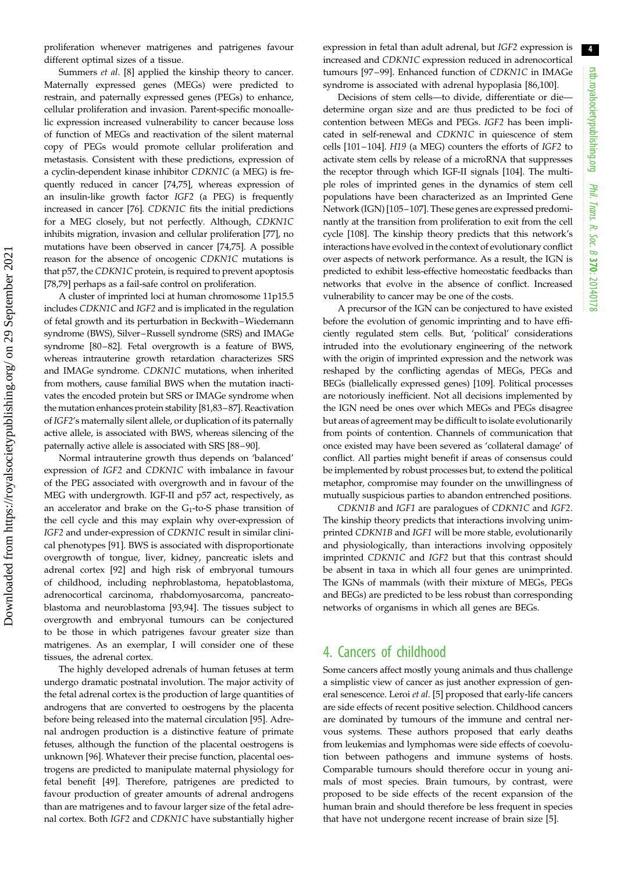4

proliferation whenever matrigenes and patrigenes favour different optimal sizes of a tissue.

Summers et al. [\[8\]](#page-5-0) applied the kinship theory to cancer. Maternally expressed genes (MEGs) were predicted to restrain, and paternally expressed genes (PEGs) to enhance, cellular proliferation and invasion. Parent-specific monoallelic expression increased vulnerability to cancer because loss of function of MEGs and reactivation of the silent maternal copy of PEGs would promote cellular proliferation and metastasis. Consistent with these predictions, expression of a cyclin-dependent kinase inhibitor CDKN1C (a MEG) is frequently reduced in cancer [\[74,75](#page-6-0)], whereas expression of an insulin-like growth factor IGF2 (a PEG) is frequently increased in cancer [\[76](#page-6-0)]. CDKN1C fits the initial predictions for a MEG closely, but not perfectly. Although, CDKN1C inhibits migration, invasion and cellular proliferation [[77\]](#page-6-0), no mutations have been observed in cancer [\[74,75](#page-6-0)]. A possible reason for the absence of oncogenic CDKN1C mutations is that p57, the CDKN1C protein, is required to prevent apoptosis [\[78,79](#page-6-0)] perhaps as a fail-safe control on proliferation.

A cluster of imprinted loci at human chromosome 11p15.5 includes CDKN1C and IGF2 and is implicated in the regulation of fetal growth and its perturbation in Beckwith–Wiedemann syndrome (BWS), Silver–Russell syndrome (SRS) and IMAGe syndrome [\[80](#page-6-0)–[82](#page-6-0)]. Fetal overgrowth is a feature of BWS, whereas intrauterine growth retardation characterizes SRS and IMAGe syndrome. CDKN1C mutations, when inherited from mothers, cause familial BWS when the mutation inactivates the encoded protein but SRS or IMAGe syndrome when the mutation enhances protein stability [\[81,83](#page-6-0)–[87](#page-6-0)]. Reactivation of IGF2's maternally silent allele, or duplication of its paternally active allele, is associated with BWS, whereas silencing of the paternally active allele is associated with SRS [\[88](#page-6-0)–[90\]](#page-6-0).

Normal intrauterine growth thus depends on 'balanced' expression of IGF2 and CDKN1C with imbalance in favour of the PEG associated with overgrowth and in favour of the MEG with undergrowth. IGF-II and p57 act, respectively, as an accelerator and brake on the  $G_1$ -to-S phase transition of the cell cycle and this may explain why over-expression of IGF2 and under-expression of CDKN1C result in similar clinical phenotypes [\[91](#page-6-0)]. BWS is associated with disproportionate overgrowth of tongue, liver, kidney, pancreatic islets and adrenal cortex [\[92](#page-6-0)] and high risk of embryonal tumours of childhood, including nephroblastoma, hepatoblastoma, adrenocortical carcinoma, rhabdomyosarcoma, pancreatoblastoma and neuroblastoma [\[93](#page-6-0),[94\]](#page-6-0). The tissues subject to overgrowth and embryonal tumours can be conjectured to be those in which patrigenes favour greater size than matrigenes. As an exemplar, I will consider one of these tissues, the adrenal cortex.

The highly developed adrenals of human fetuses at term undergo dramatic postnatal involution. The major activity of the fetal adrenal cortex is the production of large quantities of androgens that are converted to oestrogens by the placenta before being released into the maternal circulation [\[95](#page-6-0)]. Adrenal androgen production is a distinctive feature of primate fetuses, although the function of the placental oestrogens is unknown [[96\]](#page-6-0). Whatever their precise function, placental oestrogens are predicted to manipulate maternal physiology for fetal benefit [[49\]](#page-5-0). Therefore, patrigenes are predicted to favour production of greater amounts of adrenal androgens than are matrigenes and to favour larger size of the fetal adrenal cortex. Both IGF2 and CDKN1C have substantially higher expression in fetal than adult adrenal, but IGF2 expression is increased and CDKN1C expression reduced in adrenocortical tumours [\[97](#page-6-0) –[99\]](#page-6-0). Enhanced function of CDKN1C in IMAGe syndrome is associated with adrenal hypoplasia [[86,100](#page-6-0)].

Decisions of stem cells—to divide, differentiate or die determine organ size and are thus predicted to be foci of contention between MEGs and PEGs. IGF2 has been implicated in self-renewal and CDKN1C in quiescence of stem cells [[101](#page-7-0) –[104\]](#page-7-0). H19 (a MEG) counters the efforts of IGF2 to activate stem cells by release of a microRNA that suppresses the receptor through which IGF-II signals [[104](#page-7-0)]. The multiple roles of imprinted genes in the dynamics of stem cell populations have been characterized as an Imprinted Gene Network (IGN) [[105](#page-7-0)–[107\]](#page-7-0). These genes are expressed predominantly at the transition from proliferation to exit from the cell cycle [\[108](#page-7-0)]. The kinship theory predicts that this network's interactions have evolved in the context of evolutionary conflict over aspects of network performance. As a result, the IGN is predicted to exhibit less-effective homeostatic feedbacks than networks that evolve in the absence of conflict. Increased vulnerability to cancer may be one of the costs.

A precursor of the IGN can be conjectured to have existed before the evolution of genomic imprinting and to have efficiently regulated stem cells. But, 'political' considerations intruded into the evolutionary engineering of the network with the origin of imprinted expression and the network was reshaped by the conflicting agendas of MEGs, PEGs and BEGs (biallelically expressed genes) [[109\]](#page-7-0). Political processes are notoriously inefficient. Not all decisions implemented by the IGN need be ones over which MEGs and PEGs disagree but areas of agreement may be difficult to isolate evolutionarily from points of contention. Channels of communication that once existed may have been severed as 'collateral damage' of conflict. All parties might benefit if areas of consensus could be implemented by robust processes but, to extend the political metaphor, compromise may founder on the unwillingness of mutually suspicious parties to abandon entrenched positions.

CDKN1B and IGF1 are paralogues of CDKN1C and IGF2. The kinship theory predicts that interactions involving unimprinted CDKN1B and IGF1 will be more stable, evolutionarily and physiologically, than interactions involving oppositely imprinted CDKN1C and IGF2 but that this contrast should be absent in taxa in which all four genes are unimprinted. The IGNs of mammals (with their mixture of MEGs, PEGs and BEGs) are predicted to be less robust than corresponding networks of organisms in which all genes are BEGs.

## 4. Cancers of childhood

Some cancers affect mostly young animals and thus challenge a simplistic view of cancer as just another expression of general senescence. Leroi et al. [\[5\]](#page-4-0) proposed that early-life cancers are side effects of recent positive selection. Childhood cancers are dominated by tumours of the immune and central nervous systems. These authors proposed that early deaths from leukemias and lymphomas were side effects of coevolution between pathogens and immune systems of hosts. Comparable tumours should therefore occur in young animals of most species. Brain tumours, by contrast, were proposed to be side effects of the recent expansion of the human brain and should therefore be less frequent in species that have not undergone recent increase of brain size [[5](#page-4-0)].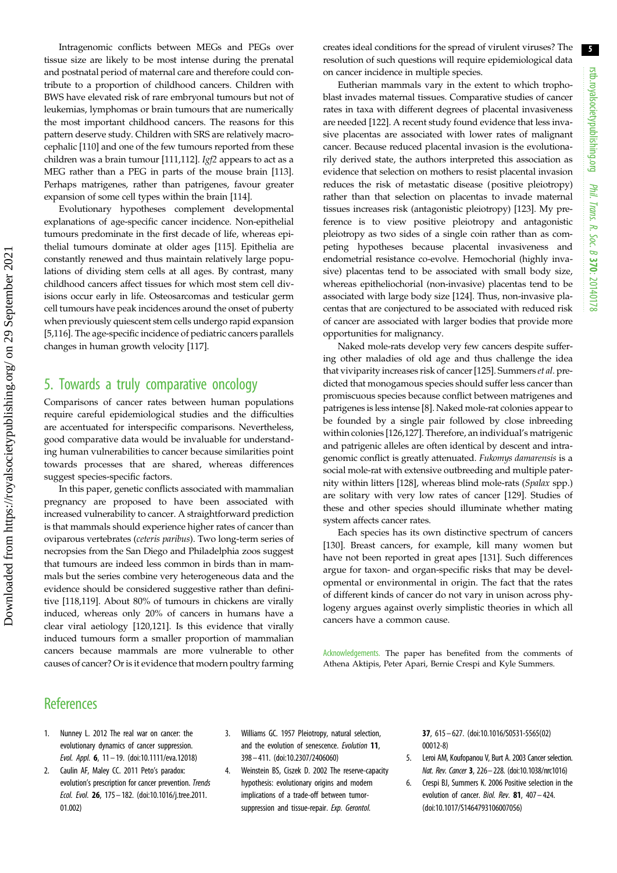<span id="page-4-0"></span>Intragenomic conflicts between MEGs and PEGs over tissue size are likely to be most intense during the prenatal and postnatal period of maternal care and therefore could contribute to a proportion of childhood cancers. Children with BWS have elevated risk of rare embryonal tumours but not of leukemias, lymphomas or brain tumours that are numerically the most important childhood cancers. The reasons for this pattern deserve study. Children with SRS are relatively macrocephalic [\[110\]](#page-7-0) and one of the few tumours reported from these children was a brain tumour [[111,112\]](#page-7-0). Igf2 appears to act as a MEG rather than a PEG in parts of the mouse brain [\[113](#page-7-0)]. Perhaps matrigenes, rather than patrigenes, favour greater expansion of some cell types within the brain [\[114](#page-7-0)].

Evolutionary hypotheses complement developmental explanations of age-specific cancer incidence. Non-epithelial tumours predominate in the first decade of life, whereas epithelial tumours dominate at older ages [[115](#page-7-0)]. Epithelia are constantly renewed and thus maintain relatively large populations of dividing stem cells at all ages. By contrast, many childhood cancers affect tissues for which most stem cell divisions occur early in life. Osteosarcomas and testicular germ cell tumours have peak incidences around the onset of puberty when previously quiescent stem cells undergo rapid expansion [5[,116](#page-7-0)]. The age-specific incidence of pediatric cancers parallels changes in human growth velocity [\[117\]](#page-7-0).

## 5. Towards a truly comparative oncology

Comparisons of cancer rates between human populations require careful epidemiological studies and the difficulties are accentuated for interspecific comparisons. Nevertheless, good comparative data would be invaluable for understanding human vulnerabilities to cancer because similarities point towards processes that are shared, whereas differences suggest species-specific factors.

In this paper, genetic conflicts associated with mammalian pregnancy are proposed to have been associated with increased vulnerability to cancer. A straightforward prediction is that mammals should experience higher rates of cancer than oviparous vertebrates (ceteris paribus). Two long-term series of necropsies from the San Diego and Philadelphia zoos suggest that tumours are indeed less common in birds than in mammals but the series combine very heterogeneous data and the evidence should be considered suggestive rather than definitive [\[118](#page-7-0),[119\]](#page-7-0). About 80% of tumours in chickens are virally induced, whereas only 20% of cancers in humans have a clear viral aetiology [\[120,121](#page-7-0)]. Is this evidence that virally induced tumours form a smaller proportion of mammalian cancers because mammals are more vulnerable to other causes of cancer? Or is it evidence that modern poultry farming creates ideal conditions for the spread of virulent viruses? The resolution of such questions will require epidemiological data on cancer incidence in multiple species.

Eutherian mammals vary in the extent to which trophoblast invades maternal tissues. Comparative studies of cancer rates in taxa with different degrees of placental invasiveness are needed [[122](#page-7-0)]. A recent study found evidence that less invasive placentas are associated with lower rates of malignant cancer. Because reduced placental invasion is the evolutionarily derived state, the authors interpreted this association as evidence that selection on mothers to resist placental invasion reduces the risk of metastatic disease (positive pleiotropy) rather than that selection on placentas to invade maternal tissues increases risk (antagonistic pleiotropy) [\[123](#page-7-0)]. My preference is to view positive pleiotropy and antagonistic pleiotropy as two sides of a single coin rather than as competing hypotheses because placental invasiveness and endometrial resistance co-evolve. Hemochorial (highly invasive) placentas tend to be associated with small body size, whereas epitheliochorial (non-invasive) placentas tend to be associated with large body size [\[124\]](#page-7-0). Thus, non-invasive placentas that are conjectured to be associated with reduced risk of cancer are associated with larger bodies that provide more opportunities for malignancy.

Naked mole-rats develop very few cancers despite suffering other maladies of old age and thus challenge the idea that viviparity increases risk of cancer [\[125\]](#page-7-0). Summers et al. predicted that monogamous species should suffer less cancer than promiscuous species because conflict between matrigenes and patrigenes is less intense [[8](#page-5-0)]. Naked mole-rat colonies appear to be founded by a single pair followed by close inbreeding within colonies [\[126](#page-7-0),[127\]](#page-7-0). Therefore, an individual's matrigenic and patrigenic alleles are often identical by descent and intragenomic conflict is greatly attenuated. Fukomys damarensis is a social mole-rat with extensive outbreeding and multiple paternity within litters [[128](#page-7-0)], whereas blind mole-rats (Spalax spp.) are solitary with very low rates of cancer [[129](#page-7-0)]. Studies of these and other species should illuminate whether mating system affects cancer rates.

Each species has its own distinctive spectrum of cancers [[130](#page-7-0)]. Breast cancers, for example, kill many women but have not been reported in great apes [\[131\]](#page-7-0). Such differences argue for taxon- and organ-specific risks that may be developmental or environmental in origin. The fact that the rates of different kinds of cancer do not vary in unison across phylogeny argues against overly simplistic theories in which all cancers have a common cause.

Acknowledgements. The paper has benefited from the comments of Athena Aktipis, Peter Apari, Bernie Crespi and Kyle Summers.

## **References**

- 1. Nunney L. 2012 The real war on cancer: the evolutionary dynamics of cancer suppression. Evol. Appl. 6, 11 – 19. [\(doi:10.1111/eva.12018](http://dx.doi.org/10.1111/eva.12018))
- 2. Caulin AF, Maley CC. 2011 Peto's paradox: evolution's prescription for cancer prevention. Trends Ecol. Evol. 26, 175– 182. [\(doi:10.1016/j.tree.2011.](http://dx.doi.org/10.1016/j.tree.2011.01.002) [01.002\)](http://dx.doi.org/10.1016/j.tree.2011.01.002)
- 3. Williams GC. 1957 Pleiotropy, natural selection, and the evolution of senescence. Evolution 11, 398 – 411. [\(doi:10.2307/2406060\)](http://dx.doi.org/10.2307/2406060)
- 4. Weinstein BS, Ciszek D. 2002 The reserve-capacity hypothesis: evolutionary origins and modern implications of a trade-off between tumorsuppression and tissue-repair. Exp. Gerontol.

37, 615 – 627. [\(doi:10.1016/S0531-5565\(02\)](http://dx.doi.org/10.1016/S0531-5565(02)00012-8) [00012-8](http://dx.doi.org/10.1016/S0531-5565(02)00012-8))

- 5. Leroi AM, Koufopanou V, Burt A. 2003 Cancer selection. Nat. Rev. Cancer 3, 226–228. ([doi:10.1038/nrc1016](http://dx.doi.org/10.1038/nrc1016))
- 6. Crespi BJ, Summers K. 2006 Positive selection in the evolution of cancer. Biol. Rev.  $81$ , 407 - 424. ([doi:10.1017/S1464793106007056\)](http://dx.doi.org/10.1017/S1464793106007056)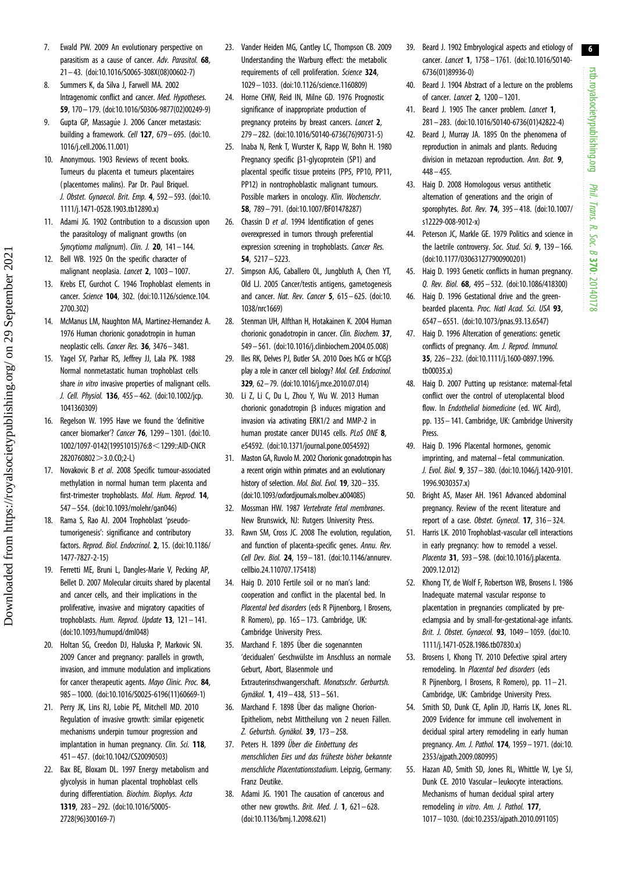- <span id="page-5-0"></span>7. Ewald PW. 2009 An evolutionary perspective on parasitism as a cause of cancer. Adv. Parasitol. 68, 21 – 43. ([doi:10.1016/S0065-308X\(08\)00602-7](http://dx.doi.org/10.1016/S0065-308X(08)00602-7))
- 8. Summers K, da Silva J, Farwell MA. 2002 Intragenomic conflict and cancer. Med. Hypotheses. 59, 170–179. [\(doi:10.1016/S0306-9877\(02\)00249-9\)](http://dx.doi.org/10.1016/S0306-9877(02)00249-9)
- Gupta GP, Massagúe J. 2006 Cancer metastasis: building a framework. Cell 127, 679– 695. ([doi:10.](http://dx.doi.org/10.1016/j.cell.2006.11.001) [1016/j.cell.2006.11.001](http://dx.doi.org/10.1016/j.cell.2006.11.001))
- 10. Anonymous. 1903 Reviews of recent books. Tumeurs du placenta et tumeurs placentaires ( placentomes malins). Par Dr. Paul Briquel. J. Obstet. Gynaecol. Brit. Emp. 4, 592-593. ([doi:10.](http://dx.doi.org/10.1111/j.1471-0528.1903.tb12890.x) [1111/j.1471-0528.1903.tb12890.x](http://dx.doi.org/10.1111/j.1471-0528.1903.tb12890.x))
- 11. Adami JG. 1902 Contribution to a discussion upon the parasitology of malignant growths (on Syncytioma malignum). Clin. J. 20,  $141 - 144$ .
- 12. Bell WB. 1925 On the specific character of malignant neoplasia. Lancet 2, 1003– 1007.
- 13. Krebs ET, Gurchot C. 1946 Trophoblast elements in cancer. Science 104, 302. [\(doi:10.1126/science.104.](http://dx.doi.org/10.1126/science.104.2700.302) [2700.302](http://dx.doi.org/10.1126/science.104.2700.302))
- 14. McManus LM, Naughton MA, Martinez-Hernandez A. 1976 Human chorionic gonadotropin in human neoplastic cells. Cancer Res. 36, 3476– 3481.
- 15. Yagel SY, Parhar RS, Jeffrey JJ, Lala PK. 1988 Normal nonmetastatic human trophoblast cells share in vitro invasive properties of malignant cells. J. Cell. Physiol. 136, 455– 462. ([doi:10.1002/jcp.](http://dx.doi.org/10.1002/jcp.1041360309) [1041360309\)](http://dx.doi.org/10.1002/jcp.1041360309)
- 16. Regelson W. 1995 Have we found the 'definitive cancer biomarker'? Cancer 76, 1299– 1301. ([doi:10.](http://dx.doi.org/10.1002/1097-0142(19951015)76:8%3C1299::AID-CNCR2820760802%3E3.0.CO;2-L) [1002/1097-0142\(19951015\)76:8](http://dx.doi.org/10.1002/1097-0142(19951015)76:8%3C1299::AID-CNCR2820760802%3E3.0.CO;2-L) < 1299::AID-CNCR [2820760802](http://dx.doi.org/10.1002/1097-0142(19951015)76:8%3C1299::AID-CNCR2820760802%3E3.0.CO;2-L) > [3.0.CO;2-L\)](http://dx.doi.org/10.1002/1097-0142(19951015)76:8%3C1299::AID-CNCR2820760802%3E3.0.CO;2-L)
- 17. Novakovic B et al. 2008 Specific tumour-associated methylation in normal human term placenta and first-trimester trophoblasts. Mol. Hum. Reprod. 14, 547– 554. ([doi:10.1093/molehr/gan046](http://dx.doi.org/10.1093/molehr/gan046))
- 18. Rama S, Rao AJ. 2004 Trophoblast 'pseudotumorigenesis': significance and contributory factors. Reprod. Biol. Endocrinol. 2, 15. ([doi:10.1186/](http://dx.doi.org/10.1186/1477-7827-2-15) [1477-7827-2-15\)](http://dx.doi.org/10.1186/1477-7827-2-15)
- 19. Ferretti ME, Bruni L, Dangles-Marie V, Pecking AP, Bellet D. 2007 Molecular circuits shared by placental and cancer cells, and their implications in the proliferative, invasive and migratory capacities of trophoblasts. Hum. Reprod. Update 13, 121 – 141. [\(doi:10.1093/humupd/dml048\)](http://dx.doi.org/10.1093/humupd/dml048)
- 20. Holtan SG, Creedon DJ, Haluska P, Markovic SN. 2009 Cancer and pregnancy: parallels in growth, invasion, and immune modulation and implications for cancer therapeutic agents. Mayo Clinic. Proc. 84, 985– 1000. ([doi:10.1016/S0025-6196\(11\)60669-1\)](http://dx.doi.org/10.1016/S0025-6196(11)60669-1)
- 21. Perry JK, Lins RJ, Lobie PE, Mitchell MD. 2010 Regulation of invasive growth: similar epigenetic mechanisms underpin tumour progression and implantation in human pregnancy. Clin. Sci. 118, 451– 457. ([doi:10.1042/CS20090503\)](http://dx.doi.org/10.1042/CS20090503)
- 22. Bax BE, Bloxam DL. 1997 Energy metabolism and glycolysis in human placental trophoblast cells during differentiation. Biochim. Biophys. Acta 1319, 283– 292. [\(doi:10.1016/S0005-](http://dx.doi.org/10.1016/S0005-2728(96)00169-7) [2728\(96\)300169-7\)](http://dx.doi.org/10.1016/S0005-2728(96)00169-7)
- 23. Vander Heiden MG, Cantley LC, Thompson CB. 2009 Understanding the Warburg effect: the metabolic requirements of cell proliferation. Science 324, 1029– 1033. [\(doi:10.1126/science.1160809](http://dx.doi.org/10.1126/science.1160809))
- 24. Horne CHW, Reid IN, Milne GD. 1976 Prognostic significance of inappropriate production of pregnancy proteins by breast cancers. Lancet 2, 279 – 282. [\(doi:10.1016/S0140-6736\(76\)90731-5](http://dx.doi.org/10.1016/S0140-6736(76)90731-5))
- 25. Inaba N, Renk T, Wurster K, Rapp W, Bohn H. 1980 Pregnancy specific  $\beta$ 1-glycoprotein (SP1) and placental specific tissue proteins (PP5, PP10, PP11, PP12) in nontrophoblastic malignant tumours. Possible markers in oncology. Klin. Wochenschr. 58, 789– 791. ([doi:10.1007/BF01478287\)](http://dx.doi.org/10.1007/BF01478287)
- 26. Chassin D et al. 1994 Identification of genes overexpressed in tumors through preferential expression screening in trophoblasts. Cancer Res. 54, 5217 – 5223.
- 27. Simpson AJG, Caballero OL, Jungbluth A, Chen YT, Old LJ. 2005 Cancer/testis antigens, gametogenesis and cancer. Nat. Rev. Cancer 5, 615– 625. [\(doi:10.](http://dx.doi.org/10.1038/nrc1669) [1038/nrc1669](http://dx.doi.org/10.1038/nrc1669))
- 28. Stenman UH, Alfthan H, Hotakainen K. 2004 Human chorionic gonadotropin in cancer. Clin. Biochem. 37, 549 – 561. [\(doi:10.1016/j.clinbiochem.2004.05.008\)](http://dx.doi.org/10.1016/j.clinbiochem.2004.05.008)
- 29. Iles RK, Delves PJ, Butler SA, 2010 Does hCG or hCGB play a role in cancer cell biology? Mol. Cell. Endocrinol. 329, 62–79. [\(doi:10.1016/j.mce.2010.07.014\)](http://dx.doi.org/10.1016/j.mce.2010.07.014)
- 30. Li Z, Li C, Du L, Zhou Y, Wu W. 2013 Human chorionic gonadotropin  $\beta$  induces migration and invasion via activating ERK1/2 and MMP-2 in human prostate cancer DU145 cells. PLoS ONE 8. e54592. ([doi:10.1371/journal.pone.0054592](http://dx.doi.org/10.1371/journal.pone.0054592))
- 31. Maston GA, Ruvolo M. 2002 Chorionic gonadotropin has a recent origin within primates and an evolutionary history of selection. Mol. Biol. Evol. 19, 320-335. [\(doi:10.1093/oxfordjournals.molbev.a004085](http://dx.doi.org/10.1093/oxfordjournals.molbev.a004085))
- 32. Mossman HW. 1987 Vertebrate fetal membranes. New Brunswick, NJ: Rutgers University Press.
- 33. Rawn SM, Cross JC. 2008 The evolution, regulation, and function of placenta-specific genes. Annu. Rev. Cell Dev. Biol. 24, 159– 181. ([doi:10.1146/annurev.](http://dx.doi.org/10.1146/annurev.cellbio.24.110707.175418) [cellbio.24.110707.175418\)](http://dx.doi.org/10.1146/annurev.cellbio.24.110707.175418)
- 34. Haig D. 2010 Fertile soil or no man's land: cooperation and conflict in the placental bed. In Placental bed disorders (eds R Pijnenborg, I Brosens, R Romero), pp. 165– 173. Cambridge, UK: Cambridge University Press.
- 35. Marchand F. 1895 Über die sogenannten 'decidualen' Geschwülste im Anschluss an normale Geburt, Abort, Blasenmole und Extrauterinschwangerschaft. Monatsschr. Gerburtsh. Gynäkol. 1, 419 – 438, 513 – 561.
- 36. Marchand F. 1898 Über das maligne Chorion-Epitheliom, nebst Mittheilung von 2 neuen Fällen. Z. Geburtsh. Gynäkol. 39,  $173 - 258$ .
- 37. Peters H. 1899 Über die Einbettung des menschlichen Eies und das früheste bisher bekannte menschliche Placentationsstadium. Leipzig, Germany: Franz Deutike.
- 38. Adami JG. 1901 The causation of cancerous and other new growths. Brit. Med. J.  $1, 621-628$ . [\(doi:10.1136/bmj.1.2098.621\)](http://dx.doi.org/10.1136/bmj.1.2098.621)
- 39. Beard J. 1902 Embryological aspects and etiology of cancer. Lancet 1, 1758 – 1761. ([doi:10.1016/S0140-](http://dx.doi.org/10.1016/S0140-6736(01)89936-0) [6736\(01\)89936-0](http://dx.doi.org/10.1016/S0140-6736(01)89936-0))
- 40. Beard J. 1904 Abstract of a lecture on the problems of cancer. Lancet 2, 1200 – 1201.
- 41. Beard J. 1905 The cancer problem. Lancet 1, 281– 283. [\(doi:10.1016/S0140-6736\(01\)42822-4](http://dx.doi.org/10.1016/S0140-6736(01)42822-4))
- 42. Beard J, Murray JA. 1895 On the phenomena of reproduction in animals and plants. Reducing division in metazoan reproduction. Ann. Bot. 9,  $448 - 455$
- 43. Haig D. 2008 Homologous versus antithetic alternation of generations and the origin of sporophytes. Bot. Rev. 74, 395 – 418. [\(doi:10.1007/](http://dx.doi.org/10.1007/s12229-008-9012-x) [s12229-008-9012-x](http://dx.doi.org/10.1007/s12229-008-9012-x))
- 44. Peterson JC, Markle GE. 1979 Politics and science in the laetrile controversy. Soc. Stud. Sci. 9, 139 - 166. ([doi:10.1177/030631277900900201](http://dx.doi.org/10.1177/030631277900900201))
- 45. Haig D. 1993 Genetic conflicts in human pregnancy. Q. Rev. Biol. 68, 495 – 532. ([doi:10.1086/418300\)](http://dx.doi.org/10.1086/418300)
- 46. Haig D. 1996 Gestational drive and the greenbearded placenta. Proc. Natl Acad. Sci. USA 93, 6547– 6551. ([doi:10.1073/pnas.93.13.6547](http://dx.doi.org/10.1073/pnas.93.13.6547))
- 47. Haig D. 1996 Altercation of generations: genetic conflicts of pregnancy. Am. J. Reprod. Immunol. 35, 226–232. ([doi:10.1111/j.1600-0897.1996.](http://dx.doi.org/10.1111/j.1600-0897.1996.tb00035.x) [tb00035.x\)](http://dx.doi.org/10.1111/j.1600-0897.1996.tb00035.x)
- 48. Haig D. 2007 Putting up resistance: maternal-fetal conflict over the control of uteroplacental blood flow. In *Endothelial biomedicine* (ed. WC Aird), pp. 135– 141. Cambridge, UK: Cambridge University Press.
- 49. Haig D. 1996 Placental hormones, genomic imprinting, and maternal–fetal communication. J. Evol. Biol. 9, 357– 380. ([doi:10.1046/j.1420-9101.](http://dx.doi.org/10.1046/j.1420-9101.1996.9030357.x) [1996.9030357.x](http://dx.doi.org/10.1046/j.1420-9101.1996.9030357.x))
- 50. Bright AS, Maser AH. 1961 Advanced abdominal pregnancy. Review of the recent literature and report of a case. Obstet. Gynecol. 17, 316 – 324.
- 51. Harris LK. 2010 Trophoblast-vascular cell interactions in early pregnancy: how to remodel a vessel. Placenta 31, S93– S98. ([doi:10.1016/j.placenta.](http://dx.doi.org/10.1016/j.placenta.2009.12.012) [2009.12.012](http://dx.doi.org/10.1016/j.placenta.2009.12.012))
- 52. Khong TY, de Wolf F, Robertson WB, Brosens I. 1986 Inadequate maternal vascular response to placentation in pregnancies complicated by preeclampsia and by small-for-gestational-age infants. Brit. J. Obstet. Gynaecol. 93, 1049– 1059. ([doi:10.](http://dx.doi.org/10.1111/j.1471-0528.1986.tb07830.x) [1111/j.1471-0528.1986.tb07830.x\)](http://dx.doi.org/10.1111/j.1471-0528.1986.tb07830.x)
- 53. Brosens I, Khong TY. 2010 Defective spiral artery remodeling. In Placental bed disorders (eds R Pijnenborg, I Brosens, R Romero), pp. 11 – 21. Cambridge, UK: Cambridge University Press.
- 54. Smith SD, Dunk CE, Aplin JD, Harris LK, Jones RL. 2009 Evidence for immune cell involvement in decidual spiral artery remodeling in early human pregnancy. Am. J. Pathol. 174, 1959 – 1971. [\(doi:10.](http://dx.doi.org/10.2353/ajpath.2009.080995) [2353/ajpath.2009.080995\)](http://dx.doi.org/10.2353/ajpath.2009.080995)
- 55. Hazan AD, Smith SD, Jones RL, Whittle W, Lye SJ, Dunk CE. 2010 Vascular– leukocyte interactions. Mechanisms of human decidual spiral artery remodeling in vitro. Am. J. Pathol. 177, 1017– 1030. ([doi:10.2353/ajpath.2010.091105\)](http://dx.doi.org/10.2353/ajpath.2010.091105)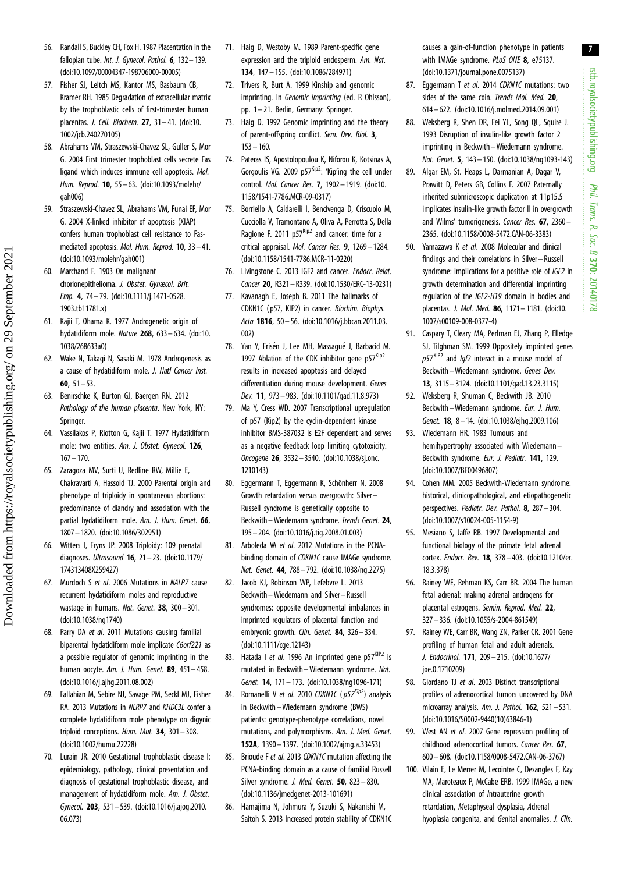rstb.royalsocietypublishing.org rstb.royalsocietypublishing.org Phil. Trans. R. Soc. B 370: 20140178

7

- 87. Eggermann T et al. 2014 CDKN1C mutations: two sides of the same coin. Trends Mol. Med. 20, 614– 622. [\(doi:10.1016/j.molmed.2014.09.001](http://dx.doi.org/10.1016/j.molmed.2014.09.001)) 88. Weksberg R, Shen DR, Fei YL, Song QL, Squire J. 1993 Disruption of insulin-like growth factor 2 imprinting in Beckwith –Wiedemann syndrome. Nat. Genet. 5, 143– 150. ([doi:10.1038/ng1093-143](http://dx.doi.org/10.1038/ng1093-143)) 89. Algar EM, St. Heaps L, Darmanian A, Dagar V, Prawitt D, Peters GB, Collins F. 2007 Paternally inherited submicroscopic duplication at 11p15.5 implicates insulin-like growth factor II in overgrowth and Wilms' tumorigenesis. Cancer Res. 67, 2360 – 2365. [\(doi:10.1158/0008-5472.CAN-06-3383](http://dx.doi.org/10.1158/0008-5472.CAN-06-3383)) 90. Yamazawa K et al. 2008 Molecular and clinical findings and their correlations in Silver–Russell syndrome: implications for a positive role of IGF2 in growth determination and differential imprinting regulation of the IGF2-H19 domain in bodies and placentas. J. Mol. Med. 86, 1171 – 1181. [\(doi:10.](http://dx.doi.org/10.1007/s00109-008-0377-4)
- 91. Caspary T, Cleary MA, Perlman EJ, Zhang P, Elledge SJ, Tilghman SM. 1999 Oppositely imprinted genes  $p57<sup>KIP2</sup>$  and *lgf2* interact in a mouse model of Beckwith –Wiedemann syndrome. Genes Dev. 13, 3115– 3124. [\(doi:10.1101/gad.13.23.3115](http://dx.doi.org/10.1101/gad.13.23.3115))

[1007/s00109-008-0377-4](http://dx.doi.org/10.1007/s00109-008-0377-4))

causes a gain-of-function phenotype in patients with IMAGe syndrome. PLoS ONE 8, e75137. ([doi:10.1371/journal.pone.0075137](http://dx.doi.org/10.1371/journal.pone.0075137))

- 92. Weksberg R, Shuman C, Beckwith JB. 2010 Beckwith –Wiedemann syndrome. Eur. J. Hum. Genet. 18, 8– 14. [\(doi:10.1038/ejhg.2009.106\)](http://dx.doi.org/10.1038/ejhg.2009.106)
- 93. Wiedemann HR. 1983 Tumours and hemihypertrophy associated with Wiedemann – Beckwith syndrome. Eur. J. Pediatr. 141, 129. ([doi:10.1007/BF00496807](http://dx.doi.org/10.1007/BF00496807))
- 94. Cohen MM. 2005 Beckwith-Wiedemann syndrome: historical, clinicopathological, and etiopathogenetic perspectives. Pediatr. Dev. Pathol. 8, 287– 304. ([doi:10.1007/s10024-005-1154-9](http://dx.doi.org/10.1007/s10024-005-1154-9))
- 95. Mesiano S, Jaffe RB. 1997 Developmental and functional biology of the primate fetal adrenal cortex. Endocr. Rev. 18, 378– 403. [\(doi:10.1210/er.](http://dx.doi.org/10.1210/er.18.3.378) [18.3.378](http://dx.doi.org/10.1210/er.18.3.378))
- 96. Rainey WE, Rehman KS, Carr BR. 2004 The human fetal adrenal: making adrenal androgens for placental estrogens. Semin. Reprod. Med. 22, 327– 336. [\(doi:10.1055/s-2004-861549\)](http://dx.doi.org/10.1055/s-2004-861549)
- 97. Rainey WE, Carr BR, Wang ZN, Parker CR. 2001 Gene profiling of human fetal and adult adrenals. J. Endocrinol. 171, 209– 215. ([doi:10.1677/](http://dx.doi.org/10.1677/joe.0.1710209) [joe.0.1710209](http://dx.doi.org/10.1677/joe.0.1710209))
- 98. Giordano TJ et al. 2003 Distinct transcriptional profiles of adrenocortical tumors uncovered by DNA microarray analysis. Am. J. Pathol. **162**, 521-531. ([doi:10.1016/S0002-9440\(10\)63846-1](http://dx.doi.org/10.1016/S0002-9440(10)63846-1))
- 99. West AN et al. 2007 Gene expression profiling of childhood adrenocortical tumors. Cancer Res. 67, 600– 608. [\(doi:10.1158/0008-5472.CAN-06-3767](http://dx.doi.org/10.1158/0008-5472.CAN-06-3767))
- 100. Vilain E, Le Merrer M, Lecointre C, Desangles F, Kay MA, Maroteaux P, McCabe ERB. 1999 IMAGe, a new clinical association of Intrauterine growth retardation, Metaphyseal dysplasia, Adrenal hyoplasia congenita, and Genital anomalies. J. Clin.
- <span id="page-6-0"></span>56. Randall S, Buckley CH, Fox H. 1987 Placentation in the fallopian tube. Int. J. Gynecol. Pathol.  $6$ , 132-139. [\(doi:10.1097/00004347-198706000-00005](http://dx.doi.org/10.1097/00004347-198706000-00005))
- 57. Fisher SJ, Leitch MS, Kantor MS, Basbaum CB, Kramer RH. 1985 Degradation of extracellular matrix by the trophoblastic cells of first-trimester human placentas. J. Cell. Biochem. 27, 31– 41. ([doi:10.](http://dx.doi.org/10.1002/jcb.240270105) [1002/jcb.240270105\)](http://dx.doi.org/10.1002/jcb.240270105)
- 58. Abrahams VM, Straszewski-Chavez SL, Guller S, Mor G. 2004 First trimester trophoblast cells secrete Fas ligand which induces immune cell apoptosis. Mol. Hum. Reprod. 10, 55 – 63. ([doi:10.1093/molehr/](http://dx.doi.org/10.1093/molehr/gah006) [gah006\)](http://dx.doi.org/10.1093/molehr/gah006)
- 59. Straszewski-Chavez SL, Abrahams VM, Funai EF, Mor G. 2004 X-linked inhibitor of apoptosis (XIAP) confers human trophoblast cell resistance to Fasmediated apoptosis. Mol. Hum. Reprod. 10, 33– 41. [\(doi:10.1093/molehr/gah001](http://dx.doi.org/10.1093/molehr/gah001))
- 60. Marchand F. 1903 On malignant chorionepithelioma. J. Obstet. Gynæcol. Brit. Emp. 4, 74 – 79. ([doi:10.1111/j.1471-0528.](http://dx.doi.org/10.1111/j.1471-0528.1903.tb11781.x) [1903.tb11781.x\)](http://dx.doi.org/10.1111/j.1471-0528.1903.tb11781.x)
- 61. Kajii T, Ohama K. 1977 Androgenetic origin of hydatidiform mole. Nature 268, 633 – 634. ([doi:10.](http://dx.doi.org/10.1038/268633a0) [1038/268633a0\)](http://dx.doi.org/10.1038/268633a0)
- 62. Wake N, Takagi N, Sasaki M. 1978 Androgenesis as a cause of hydatidiform mole. J. Natl Cancer Inst. 60 $51 - 53$
- 63. Benirschke K, Burton GJ, Baergen RN. 2012 Pathology of the human placenta. New York, NY: Springer.
- 64. Vassilakos P, Riotton G, Kajii T. 1977 Hydatidiform mole: two entities. Am. J. Obstet. Gynecol. 126,  $167 - 170$
- 65. Zaragoza MV, Surti U, Redline RW, Millie E, Chakravarti A, Hassold TJ. 2000 Parental origin and phenotype of triploidy in spontaneous abortions: predominance of diandry and association with the partial hydatidiform mole. Am. J. Hum. Genet. 66, 1807 – 1820. [\(doi:10.1086/302951](http://dx.doi.org/10.1086/302951))
- 66. Witters I, Fryns JP. 2008 Triploidy: 109 prenatal diagnoses. Ultrasound  $16$ ,  $21 - 23$ . ([doi:10.1179/](http://dx.doi.org/10.1179/174313408X259427) [174313408X259427](http://dx.doi.org/10.1179/174313408X259427))
- 67. Murdoch S et al. 2006 Mutations in NALP7 cause recurrent hydatidiform moles and reproductive wastage in humans. Nat. Genet. 38, 300-301. [\(doi:10.1038/ng1740\)](http://dx.doi.org/10.1038/ng1740)
- 68. Parry DA et al. 2011 Mutations causing familial biparental hydatidiform mole implicate C6orf221 as a possible regulator of genomic imprinting in the human oocyte. Am. J. Hum. Genet. 89, 451– 458. [\(doi:10.1016/j.ajhg.2011.08.002\)](http://dx.doi.org/10.1016/j.ajhg.2011.08.002)
- 69. Fallahian M, Sebire NJ, Savage PM, Seckl MJ, Fisher RA. 2013 Mutations in NLRP7 and KHDC3L confer a complete hydatidiform mole phenotype on digynic triploid conceptions. Hum. Mut. 34, 301– 308. [\(doi:10.1002/humu.22228\)](http://dx.doi.org/10.1002/humu.22228)
- 70. Lurain JR. 2010 Gestational trophoblastic disease I: epidemiology, pathology, clinical presentation and diagnosis of gestational trophoblastic disease, and management of hydatidiform mole. Am. J. Obstet. Gynecol. 203, 531– 539. ([doi:10.1016/j.ajog.2010.](http://dx.doi.org/10.1016/j.ajog.2010.06.073) [06.073\)](http://dx.doi.org/10.1016/j.ajog.2010.06.073)
- 71. Haig D, Westoby M. 1989 Parent-specific gene expression and the triploid endosperm. Am. Nat. 134, 147 – 155. [\(doi:10.1086/284971](http://dx.doi.org/10.1086/284971))
- 72. Trivers R, Burt A. 1999 Kinship and genomic imprinting. In Genomic imprinting (ed. R Ohlsson), pp. 1– 21. Berlin, Germany: Springer.
- 73. Haig D. 1992 Genomic imprinting and the theory of parent-offspring conflict. Sem. Dev. Biol. 3,  $153 - 160.$
- 74. Pateras IS, Apostolopoulou K, Niforou K, Kotsinas A, Gorgoulis VG. 2009  $p57^{Kip2}$ : 'Kip'ing the cell under control. Mol. Cancer Res. 7, 1902– 1919. [\(doi:10.](http://dx.doi.org/10.1158/1541-7786.MCR-09-0317) [1158/1541-7786.MCR-09-0317](http://dx.doi.org/10.1158/1541-7786.MCR-09-0317))
- 75. Borriello A, Caldarelli I, Bencivenga D, Criscuolo M, Cucciolla V, Tramontano A, Oliva A, Perrotta S, Della Ragione F. 2011  $p57^{Kip2}$  and cancer: time for a critical appraisal. Mol. Cancer Res. 9, 1269– 1284. [\(doi:10.1158/1541-7786.MCR-11-0220](http://dx.doi.org/10.1158/1541-7786.MCR-11-0220))
- 76. Livingstone C. 2013 IGF2 and cancer. Endocr. Relat. Cancer 20, R321 –R339. [\(doi:10.1530/ERC-13-0231\)](http://dx.doi.org/10.1530/ERC-13-0231)
- 77. Kavanagh E, Joseph B. 2011 The hallmarks of CDKN1C ( p57, KIP2) in cancer. Biochim. Biophys. Acta 1816, 50 - 56. [\(doi:10.1016/j.bbcan.2011.03.](http://dx.doi.org/10.1016/j.bbcan.2011.03.002)  $(002)$  $(002)$  $(002)$
- 78. Yan Y, Frisén J, Lee MH, Massagué J, Barbacid M. 1997 Ablation of the CDK inhibitor gene  $p57^{Kip2}$ results in increased apoptosis and delayed differentiation during mouse development. Genes Dev. 11, 973 – 983. [\(doi:10.1101/gad.11.8.973](http://dx.doi.org/10.1101/gad.11.8.973))
- 79. Ma Y, Cress WD. 2007 Transcriptional upregulation of p57 (Kip2) by the cyclin-dependent kinase inhibitor BMS-387032 is E2F dependent and serves as a negative feedback loop limiting cytotoxicity. Oncogene 26, 3532– 3540. [\(doi:10.1038/sj.onc.](http://dx.doi.org/10.1038/sj.onc.1210143) [1210143\)](http://dx.doi.org/10.1038/sj.onc.1210143)
- 80. Eggermann T, Eggermann K, Schönherr N. 2008 Growth retardation versus overgrowth: Silver– Russell syndrome is genetically opposite to Beckwith –Wiedemann syndrome. Trends Genet. 24, 195 – 204. [\(doi:10.1016/j.tig.2008.01.003](http://dx.doi.org/10.1016/j.tig.2008.01.003))
- 81. Arboleda VA et al. 2012 Mutations in the PCNAbinding domain of CDKN1C cause IMAGe syndrome. Nat. Genet. 44, 788 – 792. ([doi:10.1038/ng.2275\)](http://dx.doi.org/10.1038/ng.2275)
- 82. Jacob KJ, Robinson WP, Lefebvre L. 2013 Beckwith –Wiedemann and Silver–Russell syndromes: opposite developmental imbalances in imprinted regulators of placental function and embryonic growth. Clin. Genet. 84, 326-334. [\(doi:10.1111/cge.12143\)](http://dx.doi.org/10.1111/cge.12143)
- 83. Hatada I et al. 1996 An imprinted gene  $p57^{KIP2}$  is mutated in Beckwith –Wiedemann syndrome. Nat. Genet. 14, 171 – 173. ([doi:10.1038/ng1096-171](http://dx.doi.org/10.1038/ng1096-171))
- 84. Romanelli V et al. 2010 CDKN1C ( $p57^{Kip2}$ ) analysis in Beckwith –Wiedemann syndrome (BWS) patients: genotype-phenotype correlations, novel mutations, and polymorphisms. Am. J. Med. Genet. 152A, 1390 – 1397. [\(doi:10.1002/ajmg.a.33453](http://dx.doi.org/10.1002/ajmg.a.33453))
- 85. Brioude F et al. 2013 CDKN1C mutation affecting the PCNA-binding domain as a cause of familial Russell Silver syndrome. J. Med. Genet.  $50$ ,  $823 - 830$ . [\(doi:10.1136/jmedgenet-2013-101691](http://dx.doi.org/10.1136/jmedgenet-2013-101691))
- 86. Hamajima N, Johmura Y, Suzuki S, Nakanishi M, Saitoh S. 2013 Increased protein stability of CDKN1C